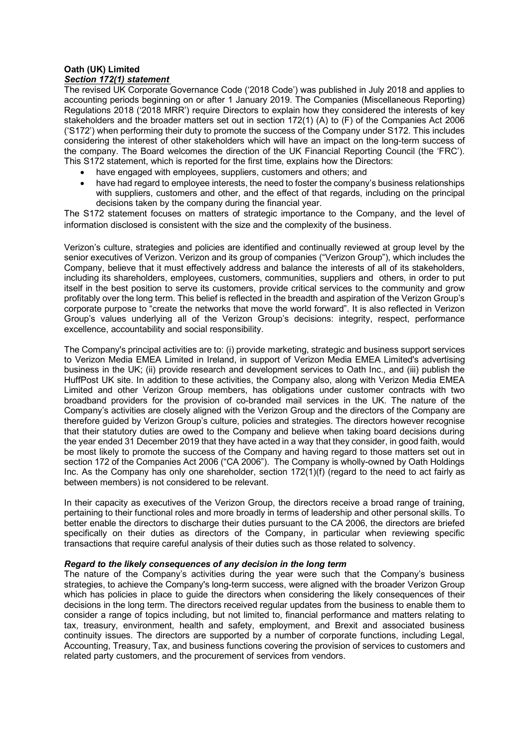## **Oath (UK) Limited** *Section 172(1) statement*

The revised UK Corporate Governance Code ('2018 Code') was published in July 2018 and applies to accounting periods beginning on or after 1 January 2019. The Companies (Miscellaneous Reporting) Regulations 2018 ('2018 MRR') require Directors to explain how they considered the interests of key stakeholders and the broader matters set out in section 172(1) (A) to (F) of the Companies Act 2006 ('S172') when performing their duty to promote the success of the Company under S172. This includes considering the interest of other stakeholders which will have an impact on the long-term success of the company. The Board welcomes the direction of the UK Financial Reporting Council (the 'FRC'). This S172 statement, which is reported for the first time, explains how the Directors:

- have engaged with employees, suppliers, customers and others; and
- have had regard to employee interests, the need to foster the company's business relationships with suppliers, customers and other, and the effect of that regards, including on the principal decisions taken by the company during the financial year.

The S172 statement focuses on matters of strategic importance to the Company, and the level of information disclosed is consistent with the size and the complexity of the business.

Verizon's culture, strategies and policies are identified and continually reviewed at group level by the senior executives of Verizon. Verizon and its group of companies ("Verizon Group"), which includes the Company, believe that it must effectively address and balance the interests of all of its stakeholders, including its shareholders, employees, customers, communities, suppliers and others, in order to put itself in the best position to serve its customers, provide critical services to the community and grow profitably over the long term. This belief is reflected in the breadth and aspiration of the Verizon Group's corporate purpose to "create the networks that move the world forward". It is also reflected in Verizon Group's values underlying all of the Verizon Group's decisions: integrity, respect, performance excellence, accountability and social responsibility.

The Company's principal activities are to: (i) provide marketing, strategic and business support services to Verizon Media EMEA Limited in Ireland, in support of Verizon Media EMEA Limited's advertising business in the UK; (ii) provide research and development services to Oath Inc., and (iii) publish the HuffPost UK site. In addition to these activities, the Company also, along with Verizon Media EMEA Limited and other Verizon Group members, has obligations under customer contracts with two broadband providers for the provision of co-branded mail services in the UK. The nature of the Company's activities are closely aligned with the Verizon Group and the directors of the Company are therefore guided by Verizon Group's culture, policies and strategies. The directors however recognise that their statutory duties are owed to the Company and believe when taking board decisions during the year ended 31 December 2019 that they have acted in a way that they consider, in good faith, would be most likely to promote the success of the Company and having regard to those matters set out in section 172 of the Companies Act 2006 ("CA 2006"). The Company is wholly-owned by Oath Holdings Inc. As the Company has only one shareholder, section 172(1)(f) (regard to the need to act fairly as between members) is not considered to be relevant.

In their capacity as executives of the Verizon Group, the directors receive a broad range of training, pertaining to their functional roles and more broadly in terms of leadership and other personal skills. To better enable the directors to discharge their duties pursuant to the CA 2006, the directors are briefed specifically on their duties as directors of the Company, in particular when reviewing specific transactions that require careful analysis of their duties such as those related to solvency.

#### *Regard to the likely consequences of any decision in the long term*

The nature of the Company's activities during the year were such that the Company's business strategies, to achieve the Company's long-term success, were aligned with the broader Verizon Group which has policies in place to guide the directors when considering the likely consequences of their decisions in the long term. The directors received regular updates from the business to enable them to consider a range of topics including, but not limited to, financial performance and matters relating to tax, treasury, environment, health and safety, employment, and Brexit and associated business continuity issues. The directors are supported by a number of corporate functions, including Legal, Accounting, Treasury, Tax, and business functions covering the provision of services to customers and related party customers, and the procurement of services from vendors.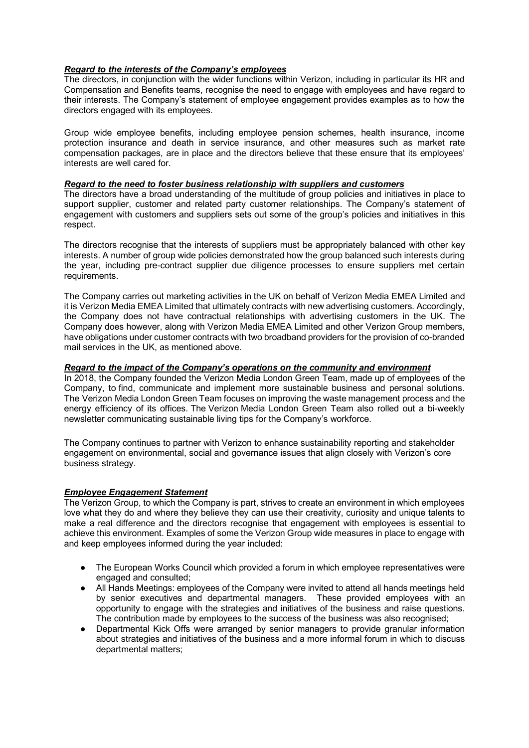### *Regard to the interests of the Company's employees*

The directors, in conjunction with the wider functions within Verizon, including in particular its HR and Compensation and Benefits teams, recognise the need to engage with employees and have regard to their interests. The Company's statement of employee engagement provides examples as to how the directors engaged with its employees.

Group wide employee benefits, including employee pension schemes, health insurance, income protection insurance and death in service insurance, and other measures such as market rate compensation packages, are in place and the directors believe that these ensure that its employees' interests are well cared for.

#### *Regard to the need to foster business relationship with suppliers and customers*

The directors have a broad understanding of the multitude of group policies and initiatives in place to support supplier, customer and related party customer relationships. The Company's statement of engagement with customers and suppliers sets out some of the group's policies and initiatives in this respect.

The directors recognise that the interests of suppliers must be appropriately balanced with other key interests. A number of group wide policies demonstrated how the group balanced such interests during the year, including pre-contract supplier due diligence processes to ensure suppliers met certain requirements.

The Company carries out marketing activities in the UK on behalf of Verizon Media EMEA Limited and it is Verizon Media EMEA Limited that ultimately contracts with new advertising customers. Accordingly, the Company does not have contractual relationships with advertising customers in the UK. The Company does however, along with Verizon Media EMEA Limited and other Verizon Group members, have obligations under customer contracts with two broadband providers for the provision of co-branded mail services in the UK, as mentioned above.

## *Regard to the impact of the Company's operations on the community and environment*

In 2018, the Company founded the Verizon Media London Green Team, made up of employees of the Company, to find, communicate and implement more sustainable business and personal solutions. The Verizon Media London Green Team focuses on improving the waste management process and the energy efficiency of its offices. The Verizon Media London Green Team also rolled out a bi-weekly newsletter communicating sustainable living tips for the Company's workforce.

The Company continues to partner with Verizon to enhance sustainability reporting and stakeholder engagement on environmental, social and governance issues that align closely with Verizon's core business strategy.

#### *Employee Engagement Statement*

The Verizon Group, to which the Company is part, strives to create an environment in which employees love what they do and where they believe they can use their creativity, curiosity and unique talents to make a real difference and the directors recognise that engagement with employees is essential to achieve this environment. Examples of some the Verizon Group wide measures in place to engage with and keep employees informed during the year included:

- The European Works Council which provided a forum in which employee representatives were engaged and consulted;
- All Hands Meetings: employees of the Company were invited to attend all hands meetings held by senior executives and departmental managers. These provided employees with an opportunity to engage with the strategies and initiatives of the business and raise questions. The contribution made by employees to the success of the business was also recognised;
- Departmental Kick Offs were arranged by senior managers to provide granular information about strategies and initiatives of the business and a more informal forum in which to discuss departmental matters;